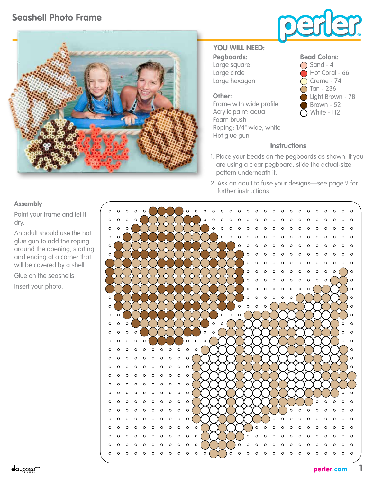# **Seashell Photo Frame**





### **Pegboards:** Large square **YOU WILL NEED:**

Large circle Large hexagon

#### **Other:**

Frame with wide profile Acrylic paint: aqua Foam brush Roping: 1/4" wide, white Hot glue gun

#### **Bead Colors:**



## **Instructions**

- 1. Place your beads on the pegboards as shown. If you are using a clear pegboard, slide the actual-size pattern underneath it.
- 2. Ask an adult to fuse your designs—see page 2 for further instructions.

#### **Assembly**

Paint your frame and let it dry.

An adult should use the hot glue gun to add the roping around the opening, starting and ending at a corner that will be covered by a shell.

Glue on the seashells.

Insert your photo.